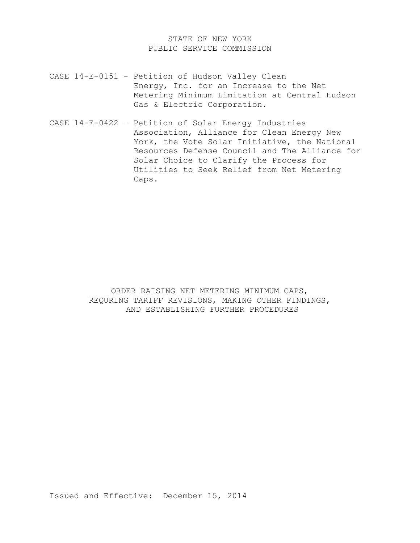# STATE OF NEW YORK PUBLIC SERVICE COMMISSION

- CASE 14-E-0151 Petition of Hudson Valley Clean Energy, Inc. for an Increase to the Net Metering Minimum Limitation at Central Hudson Gas & Electric Corporation.
- CASE 14-E-0422 Petition of Solar Energy Industries Association, Alliance for Clean Energy New York, the Vote Solar Initiative, the National Resources Defense Council and The Alliance for Solar Choice to Clarify the Process for Utilities to Seek Relief from Net Metering Caps.

ORDER RAISING NET METERING MINIMUM CAPS, REQURING TARIFF REVISIONS, MAKING OTHER FINDINGS, AND ESTABLISHING FURTHER PROCEDURES

Issued and Effective: December 15, 2014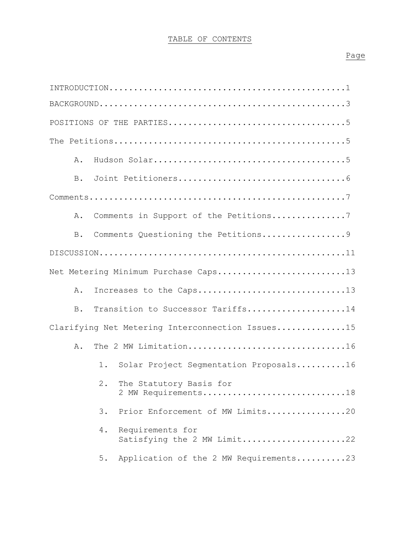# TABLE OF CONTENTS

| Α.                                                      |
|---------------------------------------------------------|
| $B$ .                                                   |
|                                                         |
| Comments in Support of the Petitions7<br>Α.             |
| Comments Questioning the Petitions9<br><b>B</b> .       |
|                                                         |
| Net Metering Minimum Purchase Caps13                    |
| Increases to the Caps13<br>Α.                           |
| Transition to Successor Tariffs14<br>B.                 |
| Clarifying Net Metering Interconnection Issues15        |
| The 2 MW Limitation16<br>Α.                             |
| $1$ .<br>Solar Project Seqmentation Proposals16         |
| The Statutory Basis for<br>$2$ .<br>2 MW Requirements18 |
| Prior Enforcement of MW Limits20<br>3.                  |
| Requirements for<br>4.<br>Satisfying the 2 MW Limit22   |
| Application of the 2 MW Requirements23<br>5.            |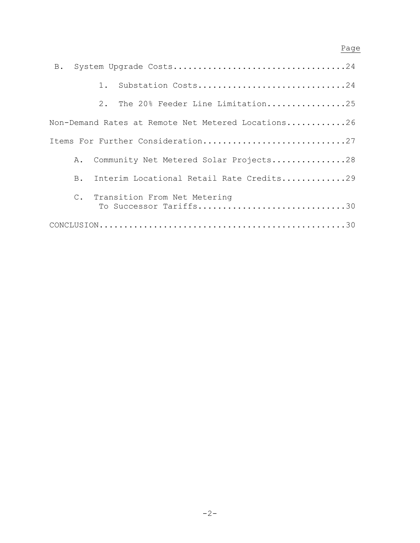# en de la provincia de la provincia de la provincia de la provincia de la provincia de la provincia de la provi

| 1.            | Substation Costs24                                        |
|---------------|-----------------------------------------------------------|
|               | 2. The 20% Feeder Line Limitation25                       |
|               | Non-Demand Rates at Remote Net Metered Locations26        |
|               | Items For Further Consideration27                         |
| Α.            | Community Net Metered Solar Projects28                    |
| $B_{\bullet}$ | Interim Locational Retail Rate Credits29                  |
|               | C. Transition From Net Metering<br>To Successor Tariffs30 |
|               |                                                           |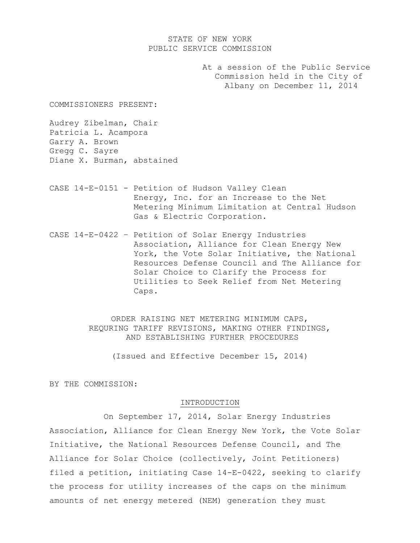# STATE OF NEW YORK PUBLIC SERVICE COMMISSION

At a session of the Public Service Commission held in the City of Albany on December 11, 2014

COMMISSIONERS PRESENT:

Audrey Zibelman, Chair Patricia L. Acampora Garry A. Brown Gregg C. Sayre Diane X. Burman, abstained

- CASE 14-E-0151 Petition of Hudson Valley Clean Energy, Inc. for an Increase to the Net Metering Minimum Limitation at Central Hudson Gas & Electric Corporation.
- CASE 14-E-0422 Petition of Solar Energy Industries Association, Alliance for Clean Energy New York, the Vote Solar Initiative, the National Resources Defense Council and The Alliance for Solar Choice to Clarify the Process for Utilities to Seek Relief from Net Metering Caps.

ORDER RAISING NET METERING MINIMUM CAPS, REQURING TARIFF REVISIONS, MAKING OTHER FINDINGS, AND ESTABLISHING FURTHER PROCEDURES

(Issued and Effective December 15, 2014)

BY THE COMMISSION:

#### INTRODUCTION

 On September 17, 2014, Solar Energy Industries Association, Alliance for Clean Energy New York, the Vote Solar Initiative, the National Resources Defense Council, and The Alliance for Solar Choice (collectively, Joint Petitioners) filed a petition, initiating Case 14-E-0422, seeking to clarify the process for utility increases of the caps on the minimum amounts of net energy metered (NEM) generation they must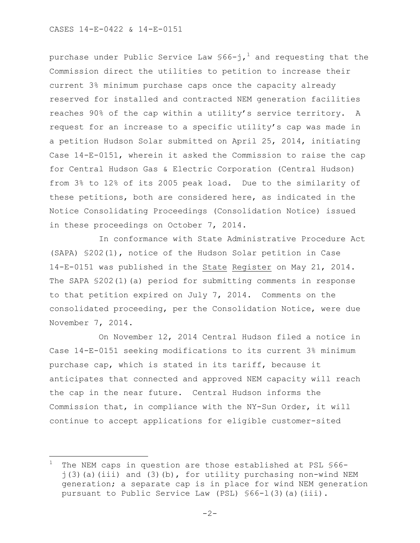÷.

purchase under Public Service Law  $\text{\$66-j{,^1} }$  and requesting that the Commission direct the utilities to petition to increase their current 3% minimum purchase caps once the capacity already reserved for installed and contracted NEM generation facilities reaches 90% of the cap within a utility's service territory. A request for an increase to a specific utility's cap was made in a petition Hudson Solar submitted on April 25, 2014, initiating Case 14-E-0151, wherein it asked the Commission to raise the cap for Central Hudson Gas & Electric Corporation (Central Hudson) from 3% to 12% of its 2005 peak load. Due to the similarity of these petitions, both are considered here, as indicated in the Notice Consolidating Proceedings (Consolidation Notice) issued in these proceedings on October 7, 2014.

In conformance with State Administrative Procedure Act (SAPA) §202(1), notice of the Hudson Solar petition in Case 14-E-0151 was published in the State Register on May 21, 2014. The SAPA §202(1)(a) period for submitting comments in response to that petition expired on July 7, 2014. Comments on the consolidated proceeding, per the Consolidation Notice, were due November 7, 2014.

On November 12, 2014 Central Hudson filed a notice in Case 14-E-0151 seeking modifications to its current 3% minimum purchase cap, which is stated in its tariff, because it anticipates that connected and approved NEM capacity will reach the cap in the near future. Central Hudson informs the Commission that, in compliance with the NY-Sun Order, it will continue to accept applications for eligible customer-sited

 $1$  The NEM caps in question are those established at PSL §66 $j(3)$  (a)(iii) and (3)(b), for utility purchasing non-wind NEM generation; a separate cap is in place for wind NEM generation pursuant to Public Service Law (PSL) §66-l(3)(a)(iii).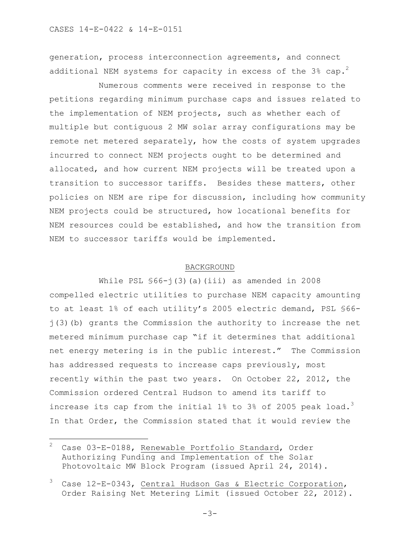generation, process interconnection agreements, and connect additional NEM systems for capacity in excess of the 3% cap.<sup>2</sup>

Numerous comments were received in response to the petitions regarding minimum purchase caps and issues related to the implementation of NEM projects, such as whether each of multiple but contiguous 2 MW solar array configurations may be remote net metered separately, how the costs of system upgrades incurred to connect NEM projects ought to be determined and allocated, and how current NEM projects will be treated upon a transition to successor tariffs. Besides these matters, other policies on NEM are ripe for discussion, including how community NEM projects could be structured, how locational benefits for NEM resources could be established, and how the transition from NEM to successor tariffs would be implemented.

#### BACKGROUND

While PSL  $$66-i(3)(a)(iii)$  as amended in 2008 compelled electric utilities to purchase NEM capacity amounting to at least 1% of each utility's 2005 electric demand, PSL §66 j(3)(b) grants the Commission the authority to increase the net metered minimum purchase cap "if it determines that additional net energy metering is in the public interest." The Commission has addressed requests to increase caps previously, most recently within the past two years. On October 22, 2012, the Commission ordered Central Hudson to amend its tariff to increase its cap from the initial 1% to 3% of 2005 peak load.<sup>3</sup> In that Order, the Commission stated that it would review the

÷.

Case 03-E-0188, Renewable Portfolio Standard, Order Authorizing Funding and Implementation of the Solar Photovoltaic MW Block Program (issued April 24, 2014).

Case 12-E-0343, Central Hudson Gas & Electric Corporation, Order Raising Net Metering Limit (issued October 22, 2012).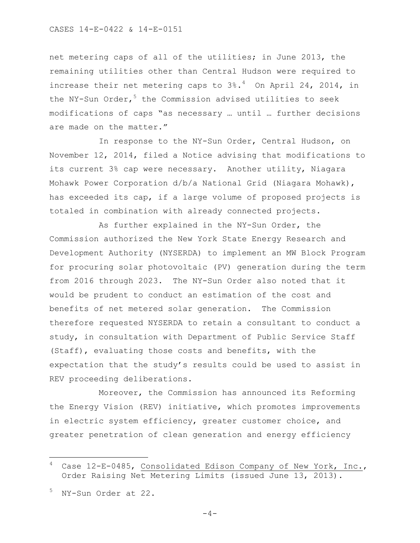net metering caps of all of the utilities; in June 2013, the remaining utilities other than Central Hudson were required to increase their net metering caps to  $3\degree$ .<sup>4</sup> On April 24, 2014, in the NY-Sun Order,  $5$  the Commission advised utilities to seek modifications of caps "as necessary … until … further decisions are made on the matter."

In response to the NY-Sun Order, Central Hudson, on November 12, 2014, filed a Notice advising that modifications to its current 3% cap were necessary. Another utility, Niagara Mohawk Power Corporation d/b/a National Grid (Niagara Mohawk), has exceeded its cap, if a large volume of proposed projects is totaled in combination with already connected projects.

As further explained in the NY-Sun Order, the Commission authorized the New York State Energy Research and Development Authority (NYSERDA) to implement an MW Block Program for procuring solar photovoltaic (PV) generation during the term from 2016 through 2023. The NY-Sun Order also noted that it would be prudent to conduct an estimation of the cost and benefits of net metered solar generation. The Commission therefore requested NYSERDA to retain a consultant to conduct a study, in consultation with Department of Public Service Staff (Staff), evaluating those costs and benefits, with the expectation that the study's results could be used to assist in REV proceeding deliberations.

Moreover, the Commission has announced its Reforming the Energy Vision (REV) initiative, which promotes improvements in electric system efficiency, greater customer choice, and greater penetration of clean generation and energy efficiency

÷.

 $-4-$ 

Case 12-E-0485, Consolidated Edison Company of New York, Inc., Order Raising Net Metering Limits (issued June 13, 2013).

NY-Sun Order at 22.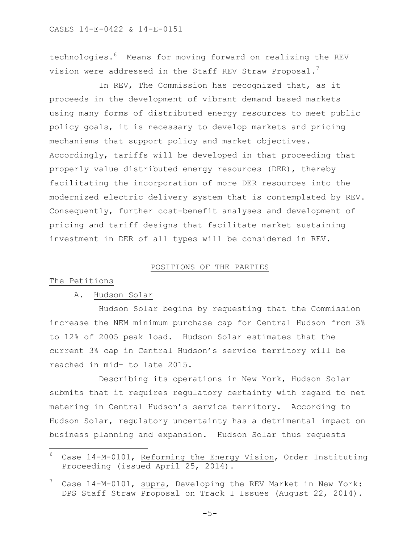technologies.<sup>6</sup> Means for moving forward on realizing the REV vision were addressed in the Staff REV Straw Proposal.<sup>7</sup>

In REV, The Commission has recognized that, as it proceeds in the development of vibrant demand based markets using many forms of distributed energy resources to meet public policy goals, it is necessary to develop markets and pricing mechanisms that support policy and market objectives. Accordingly, tariffs will be developed in that proceeding that properly value distributed energy resources (DER), thereby facilitating the incorporation of more DER resources into the modernized electric delivery system that is contemplated by REV. Consequently, further cost-benefit analyses and development of pricing and tariff designs that facilitate market sustaining investment in DER of all types will be considered in REV.

### POSITIONS OF THE PARTIES

### The Petitions

a<br>B

# A. Hudson Solar

Hudson Solar begins by requesting that the Commission increase the NEM minimum purchase cap for Central Hudson from 3% to 12% of 2005 peak load. Hudson Solar estimates that the current 3% cap in Central Hudson's service territory will be reached in mid- to late 2015.

Describing its operations in New York, Hudson Solar submits that it requires regulatory certainty with regard to net metering in Central Hudson's service territory. According to Hudson Solar, regulatory uncertainty has a detrimental impact on business planning and expansion. Hudson Solar thus requests

 $6$  Case 14-M-0101, Reforming the Energy Vision, Order Instituting Proceeding (issued April 25, 2014).

Case 14-M-0101, supra, Developing the REV Market in New York: DPS Staff Straw Proposal on Track I Issues (August 22, 2014).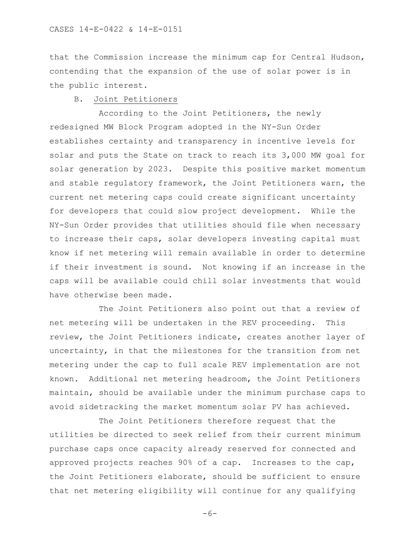that the Commission increase the minimum cap for Central Hudson, contending that the expansion of the use of solar power is in the public interest.

# B. Joint Petitioners

According to the Joint Petitioners, the newly redesigned MW Block Program adopted in the NY-Sun Order establishes certainty and transparency in incentive levels for solar and puts the State on track to reach its 3,000 MW goal for solar generation by 2023. Despite this positive market momentum and stable regulatory framework, the Joint Petitioners warn, the current net metering caps could create significant uncertainty for developers that could slow project development. While the NY-Sun Order provides that utilities should file when necessary to increase their caps, solar developers investing capital must know if net metering will remain available in order to determine if their investment is sound. Not knowing if an increase in the caps will be available could chill solar investments that would have otherwise been made.

The Joint Petitioners also point out that a review of net metering will be undertaken in the REV proceeding. This review, the Joint Petitioners indicate, creates another layer of uncertainty, in that the milestones for the transition from net metering under the cap to full scale REV implementation are not known. Additional net metering headroom, the Joint Petitioners maintain, should be available under the minimum purchase caps to avoid sidetracking the market momentum solar PV has achieved.

The Joint Petitioners therefore request that the utilities be directed to seek relief from their current minimum purchase caps once capacity already reserved for connected and approved projects reaches 90% of a cap. Increases to the cap, the Joint Petitioners elaborate, should be sufficient to ensure that net metering eligibility will continue for any qualifying

 $-6-$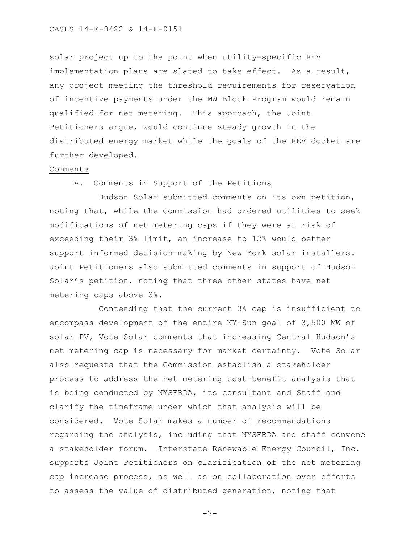#### CASES 14-E-0422 & 14-E-0151

solar project up to the point when utility-specific REV implementation plans are slated to take effect. As a result, any project meeting the threshold requirements for reservation of incentive payments under the MW Block Program would remain qualified for net metering. This approach, the Joint Petitioners argue, would continue steady growth in the distributed energy market while the goals of the REV docket are further developed.

### Comments

# A. Comments in Support of the Petitions

Hudson Solar submitted comments on its own petition, noting that, while the Commission had ordered utilities to seek modifications of net metering caps if they were at risk of exceeding their 3% limit, an increase to 12% would better support informed decision-making by New York solar installers. Joint Petitioners also submitted comments in support of Hudson Solar's petition, noting that three other states have net metering caps above 3%.

Contending that the current 3% cap is insufficient to encompass development of the entire NY-Sun goal of 3,500 MW of solar PV, Vote Solar comments that increasing Central Hudson's net metering cap is necessary for market certainty. Vote Solar also requests that the Commission establish a stakeholder process to address the net metering cost-benefit analysis that is being conducted by NYSERDA, its consultant and Staff and clarify the timeframe under which that analysis will be considered. Vote Solar makes a number of recommendations regarding the analysis, including that NYSERDA and staff convene a stakeholder forum. Interstate Renewable Energy Council, Inc. supports Joint Petitioners on clarification of the net metering cap increase process, as well as on collaboration over efforts to assess the value of distributed generation, noting that

-7-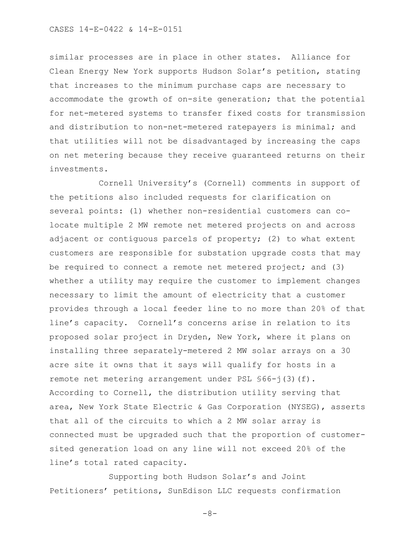#### CASES 14-E-0422 & 14-E-0151

similar processes are in place in other states. Alliance for Clean Energy New York supports Hudson Solar's petition, stating that increases to the minimum purchase caps are necessary to accommodate the growth of on-site generation; that the potential for net-metered systems to transfer fixed costs for transmission and distribution to non-net-metered ratepayers is minimal; and that utilities will not be disadvantaged by increasing the caps on net metering because they receive guaranteed returns on their investments.

Cornell University's (Cornell) comments in support of the petitions also included requests for clarification on several points: (1) whether non-residential customers can colocate multiple 2 MW remote net metered projects on and across adjacent or contiguous parcels of property; (2) to what extent customers are responsible for substation upgrade costs that may be required to connect a remote net metered project; and (3) whether a utility may require the customer to implement changes necessary to limit the amount of electricity that a customer provides through a local feeder line to no more than 20% of that line's capacity. Cornell's concerns arise in relation to its proposed solar project in Dryden, New York, where it plans on installing three separately-metered 2 MW solar arrays on a 30 acre site it owns that it says will qualify for hosts in a remote net metering arrangement under PSL §66-j(3)(f). According to Cornell, the distribution utility serving that area, New York State Electric & Gas Corporation (NYSEG), asserts that all of the circuits to which a 2 MW solar array is connected must be upgraded such that the proportion of customersited generation load on any line will not exceed 20% of the line's total rated capacity.

 Supporting both Hudson Solar's and Joint Petitioners' petitions, SunEdison LLC requests confirmation

 $-8-$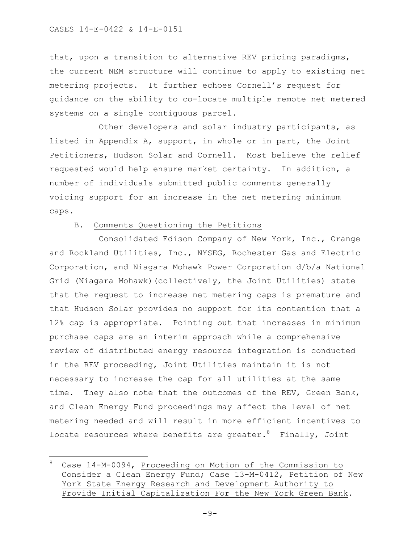a<br>B

that, upon a transition to alternative REV pricing paradigms, the current NEM structure will continue to apply to existing net metering projects. It further echoes Cornell's request for guidance on the ability to co-locate multiple remote net metered systems on a single contiguous parcel.

Other developers and solar industry participants, as listed in Appendix A, support, in whole or in part, the Joint Petitioners, Hudson Solar and Cornell. Most believe the relief requested would help ensure market certainty. In addition, a number of individuals submitted public comments generally voicing support for an increase in the net metering minimum caps.

# B. Comments Questioning the Petitions

Consolidated Edison Company of New York, Inc., Orange and Rockland Utilities, Inc., NYSEG, Rochester Gas and Electric Corporation, and Niagara Mohawk Power Corporation d/b/a National Grid (Niagara Mohawk)(collectively, the Joint Utilities) state that the request to increase net metering caps is premature and that Hudson Solar provides no support for its contention that a 12% cap is appropriate. Pointing out that increases in minimum purchase caps are an interim approach while a comprehensive review of distributed energy resource integration is conducted in the REV proceeding, Joint Utilities maintain it is not necessary to increase the cap for all utilities at the same time. They also note that the outcomes of the REV, Green Bank, and Clean Energy Fund proceedings may affect the level of net metering needed and will result in more efficient incentives to locate resources where benefits are greater.  $8$  Finally, Joint

<sup>8</sup> Case 14-M-0094, Proceeding on Motion of the Commission to Consider a Clean Energy Fund; Case 13-M-0412, Petition of New York State Energy Research and Development Authority to Provide Initial Capitalization For the New York Green Bank.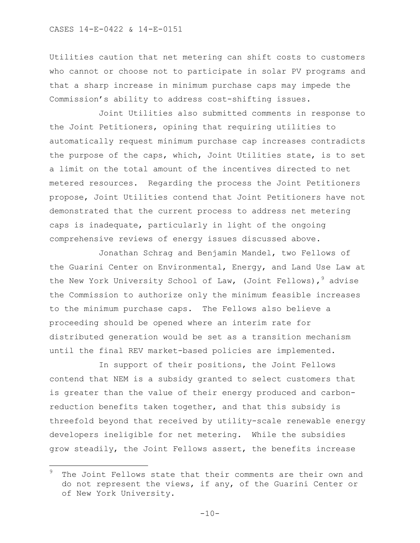CASES 14-E-0422 & 14-E-0151

a<br>B

Utilities caution that net metering can shift costs to customers who cannot or choose not to participate in solar PV programs and that a sharp increase in minimum purchase caps may impede the Commission's ability to address cost-shifting issues.

Joint Utilities also submitted comments in response to the Joint Petitioners, opining that requiring utilities to automatically request minimum purchase cap increases contradicts the purpose of the caps, which, Joint Utilities state, is to set a limit on the total amount of the incentives directed to net metered resources. Regarding the process the Joint Petitioners propose, Joint Utilities contend that Joint Petitioners have not demonstrated that the current process to address net metering caps is inadequate, particularly in light of the ongoing comprehensive reviews of energy issues discussed above.

Jonathan Schrag and Benjamin Mandel, two Fellows of the Guarini Center on Environmental, Energy, and Land Use Law at the New York University School of Law, (Joint Fellows),  $9$  advise the Commission to authorize only the minimum feasible increases to the minimum purchase caps. The Fellows also believe a proceeding should be opened where an interim rate for distributed generation would be set as a transition mechanism until the final REV market-based policies are implemented.

In support of their positions, the Joint Fellows contend that NEM is a subsidy granted to select customers that is greater than the value of their energy produced and carbonreduction benefits taken together, and that this subsidy is threefold beyond that received by utility-scale renewable energy developers ineligible for net metering. While the subsidies grow steadily, the Joint Fellows assert, the benefits increase

The Joint Fellows state that their comments are their own and do not represent the views, if any, of the Guarini Center or of New York University.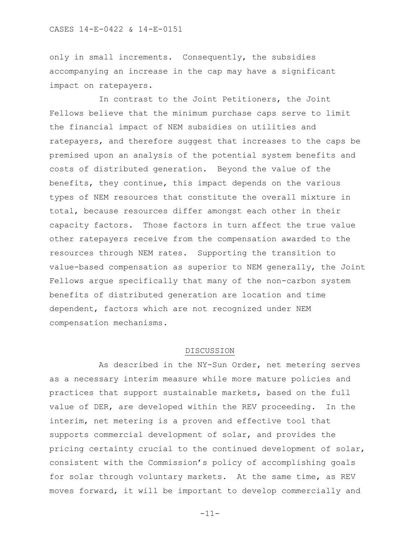only in small increments. Consequently, the subsidies accompanying an increase in the cap may have a significant impact on ratepayers.

In contrast to the Joint Petitioners, the Joint Fellows believe that the minimum purchase caps serve to limit the financial impact of NEM subsidies on utilities and ratepayers, and therefore suggest that increases to the caps be premised upon an analysis of the potential system benefits and costs of distributed generation. Beyond the value of the benefits, they continue, this impact depends on the various types of NEM resources that constitute the overall mixture in total, because resources differ amongst each other in their capacity factors. Those factors in turn affect the true value other ratepayers receive from the compensation awarded to the resources through NEM rates. Supporting the transition to value-based compensation as superior to NEM generally, the Joint Fellows argue specifically that many of the non-carbon system benefits of distributed generation are location and time dependent, factors which are not recognized under NEM compensation mechanisms.

### DISCUSSION

As described in the NY-Sun Order, net metering serves as a necessary interim measure while more mature policies and practices that support sustainable markets, based on the full value of DER, are developed within the REV proceeding. In the interim, net metering is a proven and effective tool that supports commercial development of solar, and provides the pricing certainty crucial to the continued development of solar, consistent with the Commission's policy of accomplishing goals for solar through voluntary markets. At the same time, as REV moves forward, it will be important to develop commercially and

-11-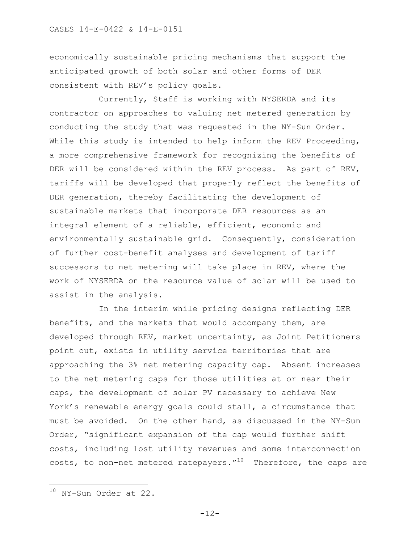economically sustainable pricing mechanisms that support the anticipated growth of both solar and other forms of DER consistent with REV's policy goals.

Currently, Staff is working with NYSERDA and its contractor on approaches to valuing net metered generation by conducting the study that was requested in the NY-Sun Order. While this study is intended to help inform the REV Proceeding, a more comprehensive framework for recognizing the benefits of DER will be considered within the REV process. As part of REV, tariffs will be developed that properly reflect the benefits of DER generation, thereby facilitating the development of sustainable markets that incorporate DER resources as an integral element of a reliable, efficient, economic and environmentally sustainable grid. Consequently, consideration of further cost-benefit analyses and development of tariff successors to net metering will take place in REV, where the work of NYSERDA on the resource value of solar will be used to assist in the analysis.

 In the interim while pricing designs reflecting DER benefits, and the markets that would accompany them, are developed through REV, market uncertainty, as Joint Petitioners point out, exists in utility service territories that are approaching the 3% net metering capacity cap. Absent increases to the net metering caps for those utilities at or near their caps, the development of solar PV necessary to achieve New York's renewable energy goals could stall, a circumstance that must be avoided. On the other hand, as discussed in the NY-Sun Order, "significant expansion of the cap would further shift costs, including lost utility revenues and some interconnection costs, to non-net metered ratepayers. $^{\prime\prime\,10}$  Therefore, the caps are

a<br>B

-12-

<sup>10</sup> NY-Sun Order at 22.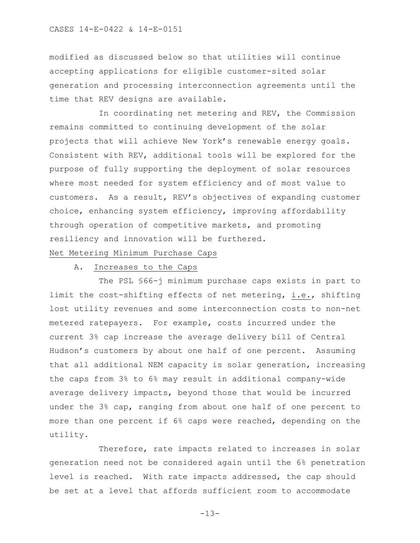#### CASES 14-E-0422 & 14-E-0151

modified as discussed below so that utilities will continue accepting applications for eligible customer-sited solar generation and processing interconnection agreements until the time that REV designs are available.

In coordinating net metering and REV, the Commission remains committed to continuing development of the solar projects that will achieve New York's renewable energy goals. Consistent with REV, additional tools will be explored for the purpose of fully supporting the deployment of solar resources where most needed for system efficiency and of most value to customers. As a result, REV's objectives of expanding customer choice, enhancing system efficiency, improving affordability through operation of competitive markets, and promoting resiliency and innovation will be furthered.

# Net Metering Minimum Purchase Caps

# A. Increases to the Caps

The PSL §66-j minimum purchase caps exists in part to limit the cost-shifting effects of net metering, i.e., shifting lost utility revenues and some interconnection costs to non-net metered ratepayers. For example, costs incurred under the current 3% cap increase the average delivery bill of Central Hudson's customers by about one half of one percent. Assuming that all additional NEM capacity is solar generation, increasing the caps from 3% to 6% may result in additional company-wide average delivery impacts, beyond those that would be incurred under the 3% cap, ranging from about one half of one percent to more than one percent if 6% caps were reached, depending on the utility.

Therefore, rate impacts related to increases in solar generation need not be considered again until the 6% penetration level is reached. With rate impacts addressed, the cap should be set at a level that affords sufficient room to accommodate

-13-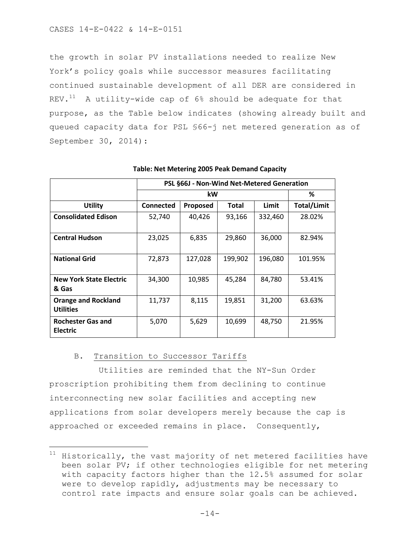the growth in solar PV installations needed to realize New York's policy goals while successor measures facilitating continued sustainable development of all DER are considered in REV. $^{11}$  A utility-wide cap of 6% should be adequate for that purpose, as the Table below indicates (showing already built and queued capacity data for PSL §66-j net metered generation as of September 30, 2014):

|                                | PSL §66J - Non-Wind Net-Metered Generation |                 |         |         |                    |  |
|--------------------------------|--------------------------------------------|-----------------|---------|---------|--------------------|--|
|                                |                                            | %               |         |         |                    |  |
| Utility                        | <b>Connected</b>                           | <b>Proposed</b> | Total   | Limit   | <b>Total/Limit</b> |  |
| <b>Consolidated Edison</b>     | 52,740                                     | 40,426          | 93,166  | 332,460 | 28.02%             |  |
|                                |                                            |                 |         |         |                    |  |
| <b>Central Hudson</b>          | 23,025                                     | 6,835           | 29,860  | 36,000  | 82.94%             |  |
|                                |                                            |                 |         |         |                    |  |
| <b>National Grid</b>           | 72,873                                     | 127,028         | 199,902 | 196,080 | 101.95%            |  |
|                                |                                            |                 |         |         |                    |  |
| <b>New York State Electric</b> | 34,300                                     | 10,985          | 45,284  | 84,780  | 53.41%             |  |
| & Gas                          |                                            |                 |         |         |                    |  |
| <b>Orange and Rockland</b>     | 11,737                                     | 8,115           | 19,851  | 31,200  | 63.63%             |  |
| <b>Utilities</b>               |                                            |                 |         |         |                    |  |
| <b>Rochester Gas and</b>       | 5,070                                      | 5,629           | 10,699  | 48,750  | 21.95%             |  |
| <b>Electric</b>                |                                            |                 |         |         |                    |  |

# **Table: Net Metering 2005 Peak Demand Capacity**

# B. Transition to Successor Tariffs

a<br>B

Utilities are reminded that the NY-Sun Order proscription prohibiting them from declining to continue interconnecting new solar facilities and accepting new applications from solar developers merely because the cap is approached or exceeded remains in place. Consequently,

 $11$  Historically, the vast majority of net metered facilities have been solar PV; if other technologies eligible for net metering with capacity factors higher than the 12.5% assumed for solar were to develop rapidly, adjustments may be necessary to control rate impacts and ensure solar goals can be achieved.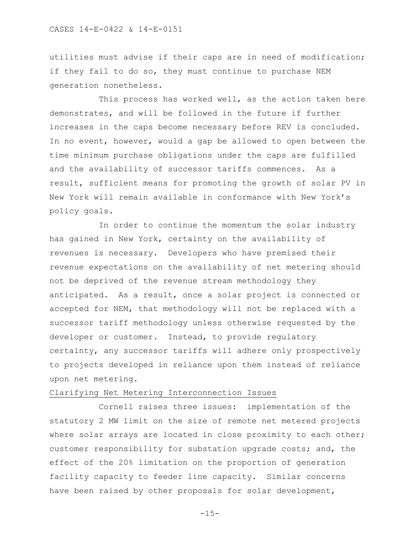utilities must advise if their caps are in need of modification; if they fail to do so, they must continue to purchase NEM generation nonetheless.

This process has worked well, as the action taken here demonstrates, and will be followed in the future if further increases in the caps become necessary before REV is concluded. In no event, however, would a gap be allowed to open between the time minimum purchase obligations under the caps are fulfilled and the availability of successor tariffs commences. As a result, sufficient means for promoting the growth of solar PV in New York will remain available in conformance with New York's policy goals.

In order to continue the momentum the solar industry has gained in New York, certainty on the availability of revenues is necessary. Developers who have premised their revenue expectations on the availability of net metering should not be deprived of the revenue stream methodology they anticipated. As a result, once a solar project is connected or accepted for NEM, that methodology will not be replaced with a successor tariff methodology unless otherwise requested by the developer or customer. Instead, to provide regulatory certainty, any successor tariffs will adhere only prospectively to projects developed in reliance upon them instead of reliance upon net metering.

# Clarifying Net Metering Interconnection Issues

Cornell raises three issues: implementation of the statutory 2 MW limit on the size of remote net metered projects where solar arrays are located in close proximity to each other; customer responsibility for substation upgrade costs; and, the effect of the 20% limitation on the proportion of generation facility capacity to feeder line capacity. Similar concerns have been raised by other proposals for solar development,

 $-15-$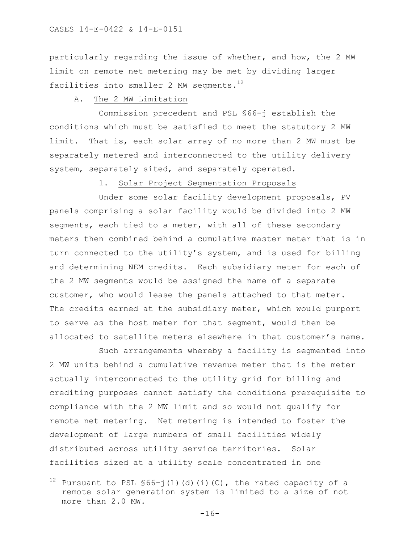particularly regarding the issue of whether, and how, the 2 MW limit on remote net metering may be met by dividing larger facilities into smaller 2 MW segments.<sup>12</sup>

# A. The 2 MW Limitation

Commission precedent and PSL §66-j establish the conditions which must be satisfied to meet the statutory 2 MW limit. That is, each solar array of no more than 2 MW must be separately metered and interconnected to the utility delivery system, separately sited, and separately operated.

1. Solar Project Segmentation Proposals

Under some solar facility development proposals, PV panels comprising a solar facility would be divided into 2 MW segments, each tied to a meter, with all of these secondary meters then combined behind a cumulative master meter that is in turn connected to the utility's system, and is used for billing and determining NEM credits. Each subsidiary meter for each of the 2 MW segments would be assigned the name of a separate customer, who would lease the panels attached to that meter. The credits earned at the subsidiary meter, which would purport to serve as the host meter for that segment, would then be allocated to satellite meters elsewhere in that customer's name.

Such arrangements whereby a facility is segmented into 2 MW units behind a cumulative revenue meter that is the meter actually interconnected to the utility grid for billing and crediting purposes cannot satisfy the conditions prerequisite to compliance with the 2 MW limit and so would not qualify for remote net metering. Net metering is intended to foster the development of large numbers of small facilities widely distributed across utility service territories. Solar facilities sized at a utility scale concentrated in one

a<br>B

<sup>&</sup>lt;sup>12</sup> Pursuant to PSL  $$66-j(1)(d)(i)(C)$ , the rated capacity of a remote solar generation system is limited to a size of not more than 2.0 MW.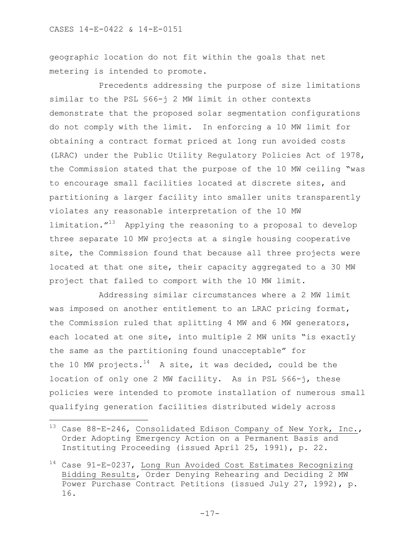a<br>B

geographic location do not fit within the goals that net metering is intended to promote.

Precedents addressing the purpose of size limitations similar to the PSL §66-j 2 MW limit in other contexts demonstrate that the proposed solar segmentation configurations do not comply with the limit. In enforcing a 10 MW limit for obtaining a contract format priced at long run avoided costs (LRAC) under the Public Utility Regulatory Policies Act of 1978, the Commission stated that the purpose of the 10 MW ceiling "was to encourage small facilities located at discrete sites, and partitioning a larger facility into smaller units transparently violates any reasonable interpretation of the 10 MW limitation. $1^{13}$  Applying the reasoning to a proposal to develop three separate 10 MW projects at a single housing cooperative site, the Commission found that because all three projects were located at that one site, their capacity aggregated to a 30 MW project that failed to comport with the 10 MW limit.

Addressing similar circumstances where a 2 MW limit was imposed on another entitlement to an LRAC pricing format, the Commission ruled that splitting 4 MW and 6 MW generators, each located at one site, into multiple 2 MW units "is exactly the same as the partitioning found unacceptable" for the 10 MW projects.<sup>14</sup> A site, it was decided, could be the location of only one 2 MW facility. As in PSL §66-j, these policies were intended to promote installation of numerous small qualifying generation facilities distributed widely across

 $^{13}$  Case 88-E-246, Consolidated Edison Company of New York, Inc., Order Adopting Emergency Action on a Permanent Basis and Instituting Proceeding (issued April 25, 1991), p. 22.

 $14$  Case 91-E-0237, Long Run Avoided Cost Estimates Recognizing Bidding Results, Order Denying Rehearing and Deciding 2 MW Power Purchase Contract Petitions (issued July 27, 1992), p. 16.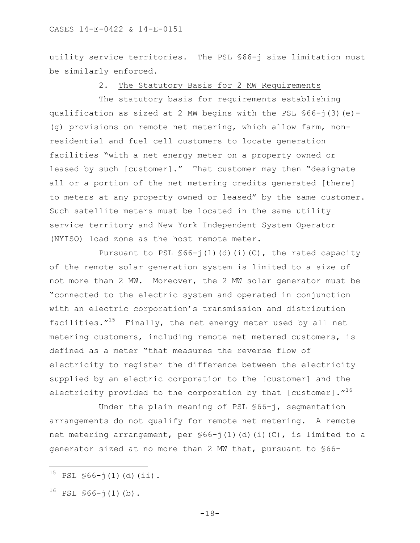utility service territories. The PSL §66-j size limitation must be similarly enforced.

# 2. The Statutory Basis for 2 MW Requirements

The statutory basis for requirements establishing qualification as sized at 2 MW begins with the PSL §66-j(3)(e)- (g) provisions on remote net metering, which allow farm, nonresidential and fuel cell customers to locate generation facilities "with a net energy meter on a property owned or leased by such [customer]." That customer may then "designate all or a portion of the net metering credits generated [there] to meters at any property owned or leased" by the same customer. Such satellite meters must be located in the same utility service territory and New York Independent System Operator (NYISO) load zone as the host remote meter.

Pursuant to PSL  $$66-j(1)(d)(i)(C)$ , the rated capacity of the remote solar generation system is limited to a size of not more than 2 MW. Moreover, the 2 MW solar generator must be "connected to the electric system and operated in conjunction with an electric corporation's transmission and distribution facilities. $1^{15}$  Finally, the net energy meter used by all net metering customers, including remote net metered customers, is defined as a meter "that measures the reverse flow of electricity to register the difference between the electricity supplied by an electric corporation to the [customer] and the electricity provided to the corporation by that [customer]. $^{\prime\prime^{16}}$ 

Under the plain meaning of PSL §66-j, segmentation arrangements do not qualify for remote net metering. A remote net metering arrangement, per §66-j(1)(d)(i)(C), is limited to a generator sized at no more than 2 MW that, pursuant to §66-

a<br>B

 $15$  PSL  $$66-j(1)(d)(ii)$ .

 $16$  PSL  $$66-j(1)(b)$ .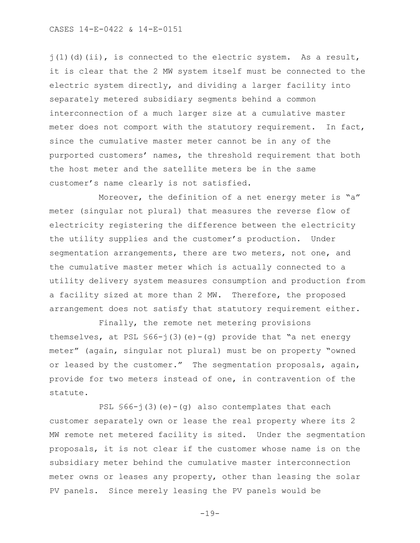CASES 14-E-0422 & 14-E-0151

 $j(1)$  (d)(ii), is connected to the electric system. As a result, it is clear that the 2 MW system itself must be connected to the electric system directly, and dividing a larger facility into separately metered subsidiary segments behind a common interconnection of a much larger size at a cumulative master meter does not comport with the statutory requirement. In fact, since the cumulative master meter cannot be in any of the purported customers' names, the threshold requirement that both the host meter and the satellite meters be in the same customer's name clearly is not satisfied.

Moreover, the definition of a net energy meter is "a" meter (singular not plural) that measures the reverse flow of electricity registering the difference between the electricity the utility supplies and the customer's production. Under segmentation arrangements, there are two meters, not one, and the cumulative master meter which is actually connected to a utility delivery system measures consumption and production from a facility sized at more than 2 MW. Therefore, the proposed arrangement does not satisfy that statutory requirement either.

Finally, the remote net metering provisions themselves, at PSL  $$66-j(3)(e)-(q)$  provide that "a net energy meter" (again, singular not plural) must be on property "owned or leased by the customer." The segmentation proposals, again, provide for two meters instead of one, in contravention of the statute.

PSL  $$66-j(3)(e)-(q)$  also contemplates that each customer separately own or lease the real property where its 2 MW remote net metered facility is sited. Under the segmentation proposals, it is not clear if the customer whose name is on the subsidiary meter behind the cumulative master interconnection meter owns or leases any property, other than leasing the solar PV panels. Since merely leasing the PV panels would be

-19-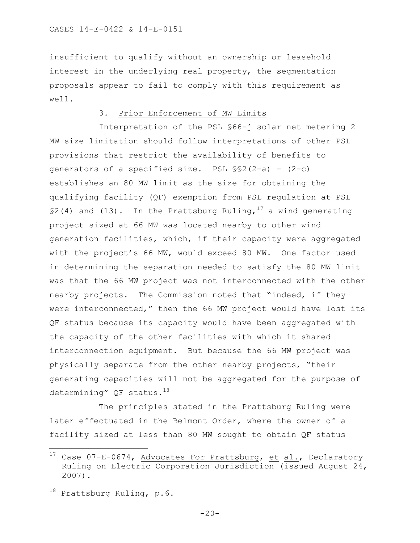insufficient to qualify without an ownership or leasehold interest in the underlying real property, the segmentation proposals appear to fail to comply with this requirement as well.

# 3. Prior Enforcement of MW Limits

Interpretation of the PSL §66-j solar net metering 2 MW size limitation should follow interpretations of other PSL provisions that restrict the availability of benefits to generators of a specified size. PSL  $\S2(2-a) - (2-c)$ establishes an 80 MW limit as the size for obtaining the qualifying facility (QF) exemption from PSL regulation at PSL §2(4) and (13). In the Prattsburg Ruling,<sup>17</sup> a wind generating project sized at 66 MW was located nearby to other wind generation facilities, which, if their capacity were aggregated with the project's 66 MW, would exceed 80 MW. One factor used in determining the separation needed to satisfy the 80 MW limit was that the 66 MW project was not interconnected with the other nearby projects. The Commission noted that "indeed, if they were interconnected," then the 66 MW project would have lost its QF status because its capacity would have been aggregated with the capacity of the other facilities with which it shared interconnection equipment. But because the 66 MW project was physically separate from the other nearby projects, "their generating capacities will not be aggregated for the purpose of determining" QF status.<sup>18</sup>

The principles stated in the Prattsburg Ruling were later effectuated in the Belmont Order, where the owner of a facility sized at less than 80 MW sought to obtain QF status

a<br>B

 $17$  Case 07-E-0674, Advocates For Prattsburg, et al., Declaratory Ruling on Electric Corporation Jurisdiction (issued August 24, 2007).

 $18$  Prattsburg Ruling, p.6.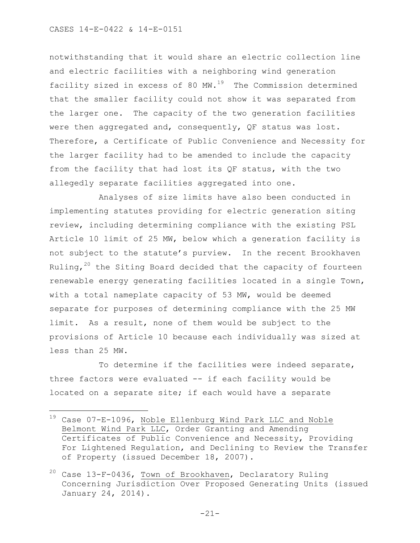### CASES 14-E-0422 & 14-E-0151

a<br>B

notwithstanding that it would share an electric collection line and electric facilities with a neighboring wind generation facility sized in excess of 80  $MW.^{19}$  The Commission determined that the smaller facility could not show it was separated from the larger one. The capacity of the two generation facilities were then aggregated and, consequently, QF status was lost. Therefore, a Certificate of Public Convenience and Necessity for the larger facility had to be amended to include the capacity from the facility that had lost its QF status, with the two allegedly separate facilities aggregated into one.

Analyses of size limits have also been conducted in implementing statutes providing for electric generation siting review, including determining compliance with the existing PSL Article 10 limit of 25 MW, below which a generation facility is not subject to the statute's purview. In the recent Brookhaven Ruling, $20$  the Siting Board decided that the capacity of fourteen renewable energy generating facilities located in a single Town, with a total nameplate capacity of 53 MW, would be deemed separate for purposes of determining compliance with the 25 MW limit. As a result, none of them would be subject to the provisions of Article 10 because each individually was sized at less than 25 MW.

To determine if the facilities were indeed separate, three factors were evaluated -- if each facility would be located on a separate site; if each would have a separate

 $19$  Case 07-E-1096, Noble Ellenburg Wind Park LLC and Noble Belmont Wind Park LLC, Order Granting and Amending Certificates of Public Convenience and Necessity, Providing For Lightened Regulation, and Declining to Review the Transfer of Property (issued December 18, 2007).

<sup>20</sup> Case 13-F-0436, Town of Brookhaven, Declaratory Ruling Concerning Jurisdiction Over Proposed Generating Units (issued January 24, 2014).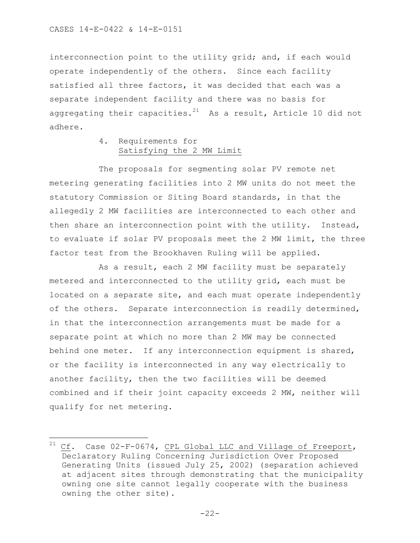L,

interconnection point to the utility grid; and, if each would operate independently of the others. Since each facility satisfied all three factors, it was decided that each was a separate independent facility and there was no basis for aggregating their capacities. $^{21}$  As a result, Article 10 did not adhere.

# 4. Requirements for Satisfying the 2 MW Limit

The proposals for segmenting solar PV remote net metering generating facilities into 2 MW units do not meet the statutory Commission or Siting Board standards, in that the allegedly 2 MW facilities are interconnected to each other and then share an interconnection point with the utility. Instead, to evaluate if solar PV proposals meet the 2 MW limit, the three factor test from the Brookhaven Ruling will be applied.

As a result, each 2 MW facility must be separately metered and interconnected to the utility grid, each must be located on a separate site, and each must operate independently of the others. Separate interconnection is readily determined, in that the interconnection arrangements must be made for a separate point at which no more than 2 MW may be connected behind one meter. If any interconnection equipment is shared, or the facility is interconnected in any way electrically to another facility, then the two facilities will be deemed combined and if their joint capacity exceeds 2 MW, neither will qualify for net metering.

 $^{21}$  Cf. Case 02-F-0674, CPL Global LLC and Village of Freeport, Declaratory Ruling Concerning Jurisdiction Over Proposed Generating Units (issued July 25, 2002) (separation achieved at adjacent sites through demonstrating that the municipality owning one site cannot legally cooperate with the business owning the other site).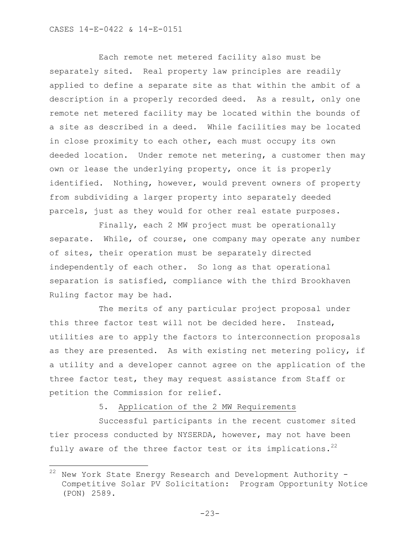a<br>B

Each remote net metered facility also must be separately sited. Real property law principles are readily applied to define a separate site as that within the ambit of a description in a properly recorded deed. As a result, only one remote net metered facility may be located within the bounds of a site as described in a deed. While facilities may be located in close proximity to each other, each must occupy its own deeded location. Under remote net metering, a customer then may own or lease the underlying property, once it is properly identified. Nothing, however, would prevent owners of property from subdividing a larger property into separately deeded parcels, just as they would for other real estate purposes.

Finally, each 2 MW project must be operationally separate. While, of course, one company may operate any number of sites, their operation must be separately directed independently of each other. So long as that operational separation is satisfied, compliance with the third Brookhaven Ruling factor may be had.

The merits of any particular project proposal under this three factor test will not be decided here. Instead, utilities are to apply the factors to interconnection proposals as they are presented. As with existing net metering policy, if a utility and a developer cannot agree on the application of the three factor test, they may request assistance from Staff or petition the Commission for relief.

5. Application of the 2 MW Requirements

Successful participants in the recent customer sited tier process conducted by NYSERDA, however, may not have been fully aware of the three factor test or its implications.<sup>22</sup>

 $22$  New York State Energy Research and Development Authority -Competitive Solar PV Solicitation: Program Opportunity Notice (PON) 2589.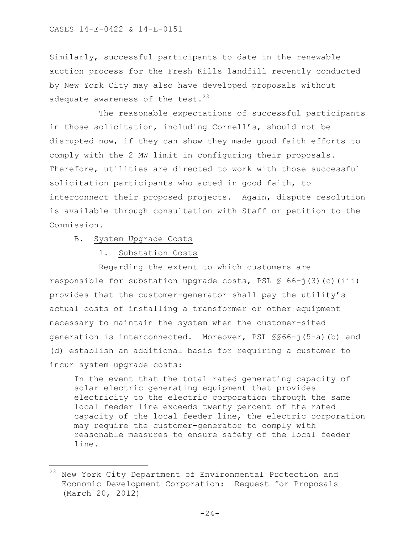Similarly, successful participants to date in the renewable auction process for the Fresh Kills landfill recently conducted by New York City may also have developed proposals without adequate awareness of the test. $^{23}$ 

The reasonable expectations of successful participants in those solicitation, including Cornell's, should not be disrupted now, if they can show they made good faith efforts to comply with the 2 MW limit in configuring their proposals. Therefore, utilities are directed to work with those successful solicitation participants who acted in good faith, to interconnect their proposed projects. Again, dispute resolution is available through consultation with Staff or petition to the Commission.

B. System Upgrade Costs

a<br>B

1. Substation Costs

Regarding the extent to which customers are responsible for substation upgrade costs, PSL  $\frac{1}{5}$  66-j(3)(c)(iii) provides that the customer-generator shall pay the utility's actual costs of installing a transformer or other equipment necessary to maintain the system when the customer-sited generation is interconnected. Moreover, PSL §§66-j(5-a)(b) and (d) establish an additional basis for requiring a customer to incur system upgrade costs:

In the event that the total rated generating capacity of solar electric generating equipment that provides electricity to the electric corporation through the same local feeder line exceeds twenty percent of the rated capacity of the local feeder line, the electric corporation may require the customer-generator to comply with reasonable measures to ensure safety of the local feeder line.

<sup>23</sup> New York City Department of Environmental Protection and Economic Development Corporation: Request for Proposals (March 20, 2012)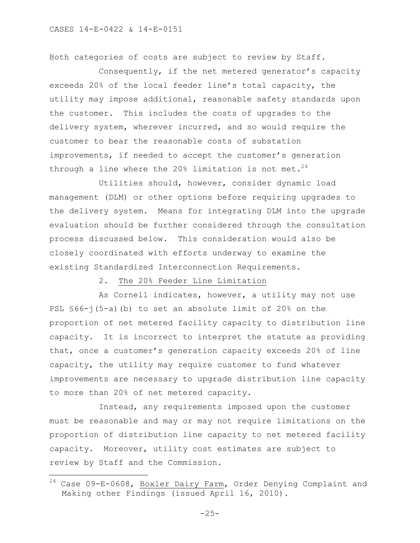a<br>B

Both categories of costs are subject to review by Staff.

Consequently, if the net metered generator's capacity exceeds 20% of the local feeder line's total capacity, the utility may impose additional, reasonable safety standards upon the customer. This includes the costs of upgrades to the delivery system, wherever incurred, and so would require the customer to bear the reasonable costs of substation improvements, if needed to accept the customer's generation through a line where the 20% limitation is not met.<sup>24</sup>

Utilities should, however, consider dynamic load management (DLM) or other options before requiring upgrades to the delivery system. Means for integrating DLM into the upgrade evaluation should be further considered through the consultation process discussed below. This consideration would also be closely coordinated with efforts underway to examine the existing Standardized Interconnection Requirements.

2. The 20% Feeder Line Limitation

As Cornell indicates, however, a utility may not use PSL §66-j(5-a)(b) to set an absolute limit of 20% on the proportion of net metered facility capacity to distribution line capacity. It is incorrect to interpret the statute as providing that, once a customer's generation capacity exceeds 20% of line capacity, the utility may require customer to fund whatever improvements are necessary to upgrade distribution line capacity to more than 20% of net metered capacity.

Instead, any requirements imposed upon the customer must be reasonable and may or may not require limitations on the proportion of distribution line capacity to net metered facility capacity. Moreover, utility cost estimates are subject to review by Staff and the Commission.

 $^{24}$  Case 09-E-0608, Boxler Dairy Farm, Order Denying Complaint and Making other Findings (issued April 16, 2010).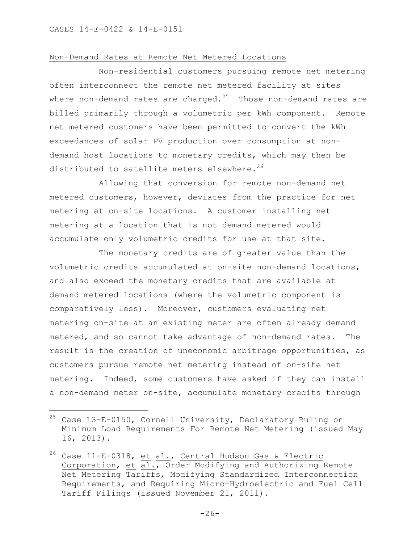÷.

### Non-Demand Rates at Remote Net Metered Locations

Non-residential customers pursuing remote net metering often interconnect the remote net metered facility at sites where non-demand rates are charged. $^{25}$  Those non-demand rates are billed primarily through a volumetric per kWh component. Remote net metered customers have been permitted to convert the kWh exceedances of solar PV production over consumption at nondemand host locations to monetary credits, which may then be distributed to satellite meters elsewhere.<sup>26</sup>

Allowing that conversion for remote non-demand net metered customers, however, deviates from the practice for net metering at on-site locations. A customer installing net metering at a location that is not demand metered would accumulate only volumetric credits for use at that site.

The monetary credits are of greater value than the volumetric credits accumulated at on-site non-demand locations, and also exceed the monetary credits that are available at demand metered locations (where the volumetric component is comparatively less). Moreover, customers evaluating net metering on-site at an existing meter are often already demand metered, and so cannot take advantage of non-demand rates. The result is the creation of uneconomic arbitrage opportunities, as customers pursue remote net metering instead of on-site net metering. Indeed, some customers have asked if they can install a non-demand meter on-site, accumulate monetary credits through

 $^{25}$  Case 13-E-0150, Cornell University, Declaratory Ruling on Minimum Load Requirements For Remote Net Metering (issued May 16, 2013).

<sup>&</sup>lt;sup>26</sup> Case 11-E-0318, et al., Central Hudson Gas & Electric Corporation, et al., Order Modifying and Authorizing Remote Net Metering Tariffs, Modifying Standardized Interconnection Requirements, and Requiring Micro-Hydroelectric and Fuel Cell Tariff Filings (issued November 21, 2011).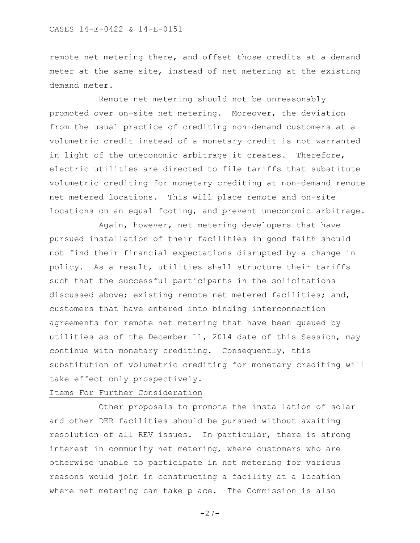remote net metering there, and offset those credits at a demand meter at the same site, instead of net metering at the existing demand meter.

Remote net metering should not be unreasonably promoted over on-site net metering. Moreover, the deviation from the usual practice of crediting non-demand customers at a volumetric credit instead of a monetary credit is not warranted in light of the uneconomic arbitrage it creates. Therefore, electric utilities are directed to file tariffs that substitute volumetric crediting for monetary crediting at non-demand remote net metered locations. This will place remote and on-site locations on an equal footing, and prevent uneconomic arbitrage.

Again, however, net metering developers that have pursued installation of their facilities in good faith should not find their financial expectations disrupted by a change in policy. As a result, utilities shall structure their tariffs such that the successful participants in the solicitations discussed above; existing remote net metered facilities; and, customers that have entered into binding interconnection agreements for remote net metering that have been queued by utilities as of the December 11, 2014 date of this Session, may continue with monetary crediting. Consequently, this substitution of volumetric crediting for monetary crediting will take effect only prospectively.

# Items For Further Consideration

Other proposals to promote the installation of solar and other DER facilities should be pursued without awaiting resolution of all REV issues. In particular, there is strong interest in community net metering, where customers who are otherwise unable to participate in net metering for various reasons would join in constructing a facility at a location where net metering can take place. The Commission is also

 $-27-$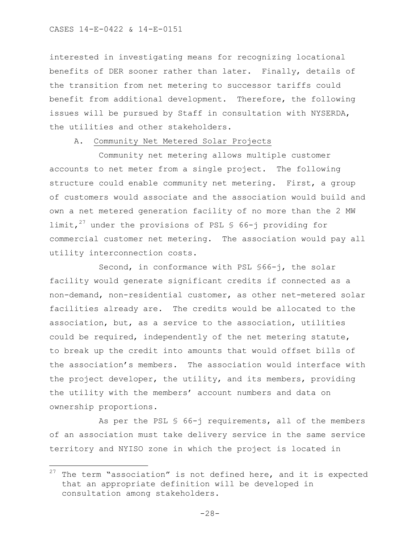÷.

interested in investigating means for recognizing locational benefits of DER sooner rather than later. Finally, details of the transition from net metering to successor tariffs could benefit from additional development. Therefore, the following issues will be pursued by Staff in consultation with NYSERDA, the utilities and other stakeholders.

## A. Community Net Metered Solar Projects

Community net metering allows multiple customer accounts to net meter from a single project. The following structure could enable community net metering. First, a group of customers would associate and the association would build and own a net metered generation facility of no more than the 2 MW limit,<sup>27</sup> under the provisions of PSL § 66-j providing for commercial customer net metering. The association would pay all utility interconnection costs.

Second, in conformance with PSL §66-j, the solar facility would generate significant credits if connected as a non-demand, non-residential customer, as other net-metered solar facilities already are. The credits would be allocated to the association, but, as a service to the association, utilities could be required, independently of the net metering statute, to break up the credit into amounts that would offset bills of the association's members. The association would interface with the project developer, the utility, and its members, providing the utility with the members' account numbers and data on ownership proportions.

As per the PSL § 66-j requirements, all of the members of an association must take delivery service in the same service territory and NYISO zone in which the project is located in

 $27$  The term "association" is not defined here, and it is expected that an appropriate definition will be developed in consultation among stakeholders.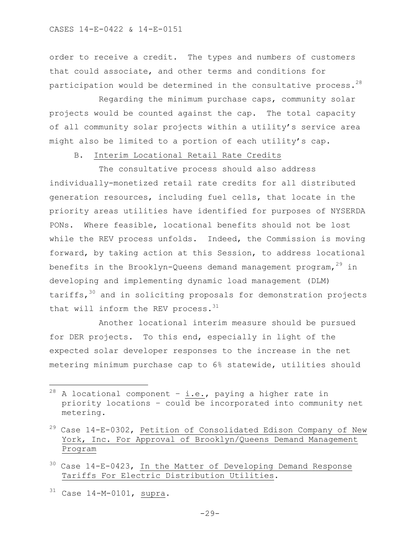order to receive a credit. The types and numbers of customers that could associate, and other terms and conditions for participation would be determined in the consultative process.<sup>28</sup>

Regarding the minimum purchase caps, community solar projects would be counted against the cap. The total capacity of all community solar projects within a utility's service area might also be limited to a portion of each utility's cap.

B. Interim Locational Retail Rate Credits

The consultative process should also address individually-monetized retail rate credits for all distributed generation resources, including fuel cells, that locate in the priority areas utilities have identified for purposes of NYSERDA PONs. Where feasible, locational benefits should not be lost while the REV process unfolds. Indeed, the Commission is moving forward, by taking action at this Session, to address locational benefits in the Brooklyn-Queens demand management program,  $29$  in developing and implementing dynamic load management (DLM) tariffs,  $30$  and in soliciting proposals for demonstration projects that will inform the REV process.<sup>31</sup>

Another locational interim measure should be pursued for DER projects. To this end, especially in light of the expected solar developer responses to the increase in the net metering minimum purchase cap to 6% statewide, utilities should

- $30$  Case 14-E-0423, In the Matter of Developing Demand Response Tariffs For Electric Distribution Utilities.
- $31$  Case 14-M-0101, supra.

÷.

 $^{28}$  A locational component - i.e., paying a higher rate in priority locations – could be incorporated into community net metering.

<sup>29</sup> Case 14-E-0302, Petition of Consolidated Edison Company of New York, Inc. For Approval of Brooklyn/Queens Demand Management Program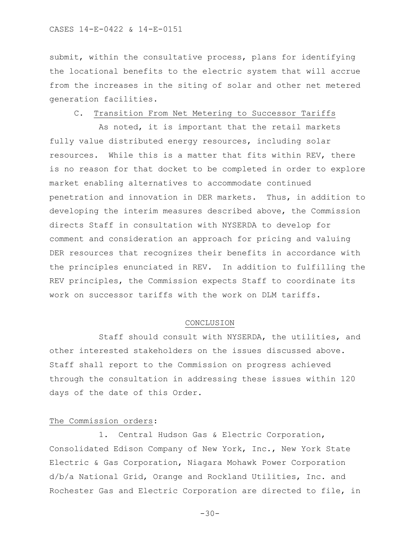submit, within the consultative process, plans for identifying the locational benefits to the electric system that will accrue from the increases in the siting of solar and other net metered generation facilities.

### C. Transition From Net Metering to Successor Tariffs

As noted, it is important that the retail markets fully value distributed energy resources, including solar resources. While this is a matter that fits within REV, there is no reason for that docket to be completed in order to explore market enabling alternatives to accommodate continued penetration and innovation in DER markets. Thus, in addition to developing the interim measures described above, the Commission directs Staff in consultation with NYSERDA to develop for comment and consideration an approach for pricing and valuing DER resources that recognizes their benefits in accordance with the principles enunciated in REV. In addition to fulfilling the REV principles, the Commission expects Staff to coordinate its work on successor tariffs with the work on DLM tariffs.

#### CONCLUSION

Staff should consult with NYSERDA, the utilities, and other interested stakeholders on the issues discussed above. Staff shall report to the Commission on progress achieved through the consultation in addressing these issues within 120 days of the date of this Order.

# The Commission orders:

1. Central Hudson Gas & Electric Corporation, Consolidated Edison Company of New York, Inc., New York State Electric & Gas Corporation, Niagara Mohawk Power Corporation d/b/a National Grid, Orange and Rockland Utilities, Inc. and Rochester Gas and Electric Corporation are directed to file, in

 $-30-$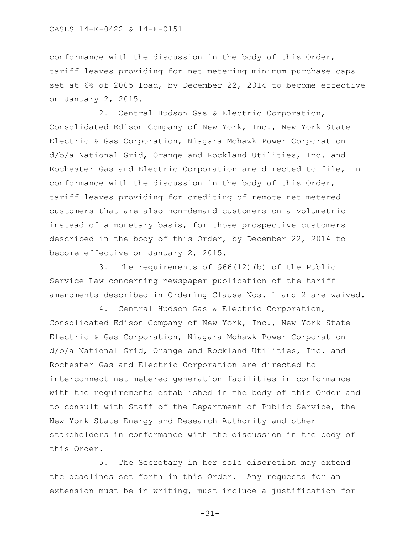conformance with the discussion in the body of this Order, tariff leaves providing for net metering minimum purchase caps set at 6% of 2005 load, by December 22, 2014 to become effective on January 2, 2015.

2. Central Hudson Gas & Electric Corporation, Consolidated Edison Company of New York, Inc., New York State Electric & Gas Corporation, Niagara Mohawk Power Corporation d/b/a National Grid, Orange and Rockland Utilities, Inc. and Rochester Gas and Electric Corporation are directed to file, in conformance with the discussion in the body of this Order, tariff leaves providing for crediting of remote net metered customers that are also non-demand customers on a volumetric instead of a monetary basis, for those prospective customers described in the body of this Order, by December 22, 2014 to become effective on January 2, 2015.

3. The requirements of §66(12)(b) of the Public Service Law concerning newspaper publication of the tariff amendments described in Ordering Clause Nos. 1 and 2 are waived.

4. Central Hudson Gas & Electric Corporation, Consolidated Edison Company of New York, Inc., New York State Electric & Gas Corporation, Niagara Mohawk Power Corporation d/b/a National Grid, Orange and Rockland Utilities, Inc. and Rochester Gas and Electric Corporation are directed to interconnect net metered generation facilities in conformance with the requirements established in the body of this Order and to consult with Staff of the Department of Public Service, the New York State Energy and Research Authority and other stakeholders in conformance with the discussion in the body of this Order.

5. The Secretary in her sole discretion may extend the deadlines set forth in this Order. Any requests for an extension must be in writing, must include a justification for

-31-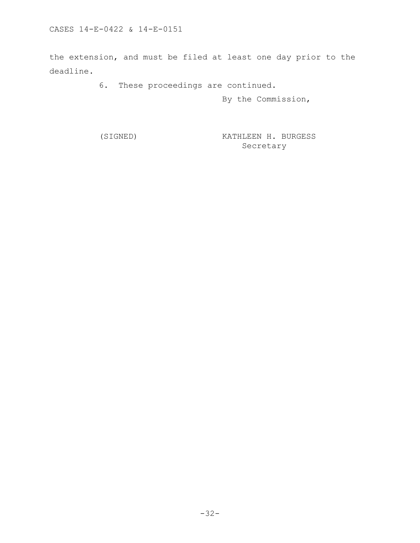the extension, and must be filed at least one day prior to the deadline.

6. These proceedings are continued.

By the Commission,

(SIGNED) KATHLEEN H. BURGESS Secretary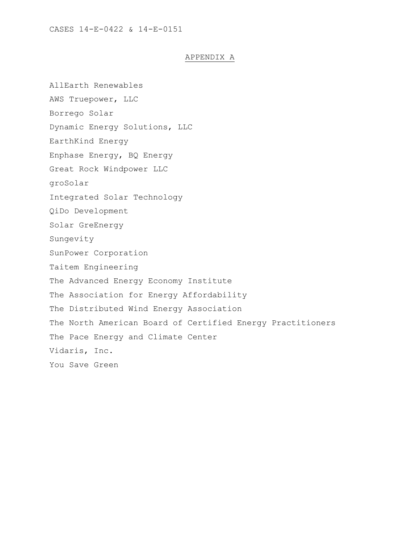# APPENDIX A

AllEarth Renewables AWS Truepower, LLC Borrego Solar Dynamic Energy Solutions, LLC EarthKind Energy Enphase Energy, BQ Energy Great Rock Windpower LLC groSolar Integrated Solar Technology QiDo Development Solar GreEnergy Sungevity SunPower Corporation Taitem Engineering The Advanced Energy Economy Institute The Association for Energy Affordability The Distributed Wind Energy Association The North American Board of Certified Energy Practitioners The Pace Energy and Climate Center Vidaris, Inc. You Save Green